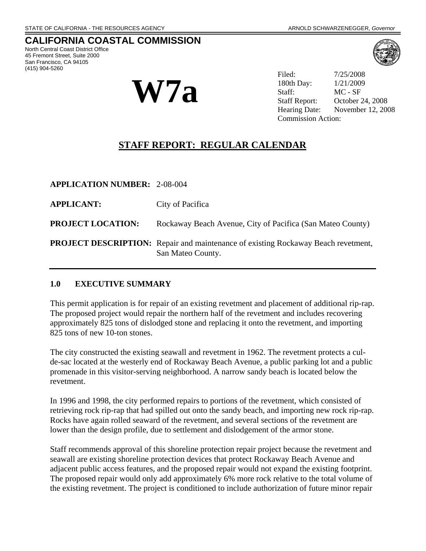# **CALIFORNIA COASTAL COMMISSION**

North Central Coast District Office 45 Fremont Street, Suite 2000 San Francisco, CA 94105 (415) 904-5260



Filed: 7/25/2008 180th Day: 1/21/2009 Staff: MC - SF Staff Report: October 24, 2008 Hearing Date: November 12, 2008 Commission Action:

# **STAFF REPORT: REGULAR CALENDAR**

| <b>APPLICATION NUMBER: 2-08-004</b> |                                                                                                               |
|-------------------------------------|---------------------------------------------------------------------------------------------------------------|
| <b>APPLICANT:</b>                   | City of Pacifica                                                                                              |
| <b>PROJECT LOCATION:</b>            | Rockaway Beach Avenue, City of Pacifica (San Mateo County)                                                    |
|                                     | <b>PROJECT DESCRIPTION:</b> Repair and maintenance of existing Rockaway Beach revetment,<br>San Mateo County. |

#### **1.0 EXECUTIVE SUMMARY**

This permit application is for repair of an existing revetment and placement of additional rip-rap. The proposed project would repair the northern half of the revetment and includes recovering approximately 825 tons of dislodged stone and replacing it onto the revetment, and importing 825 tons of new 10-ton stones.

The city constructed the existing seawall and revetment in 1962. The revetment protects a culde-sac located at the westerly end of Rockaway Beach Avenue, a public parking lot and a public promenade in this visitor-serving neighborhood. A narrow sandy beach is located below the revetment.

In 1996 and 1998, the city performed repairs to portions of the revetment, which consisted of retrieving rock rip-rap that had spilled out onto the sandy beach, and importing new rock rip-rap. Rocks have again rolled seaward of the revetment, and several sections of the revetment are lower than the design profile, due to settlement and dislodgement of the armor stone.

Staff recommends approval of this shoreline protection repair project because the revetment and seawall are existing shoreline protection devices that protect Rockaway Beach Avenue and adjacent public access features, and the proposed repair would not expand the existing footprint. The proposed repair would only add approximately 6% more rock relative to the total volume of the existing revetment. The project is conditioned to include authorization of future minor repair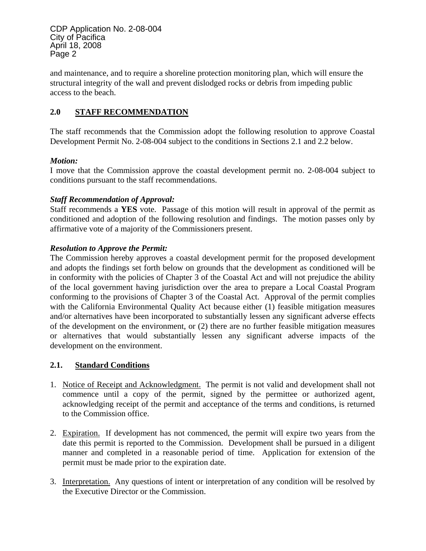and maintenance, and to require a shoreline protection monitoring plan, which will ensure the structural integrity of the wall and prevent dislodged rocks or debris from impeding public access to the beach.

## **2.0 STAFF RECOMMENDATION**

The staff recommends that the Commission adopt the following resolution to approve Coastal Development Permit No. 2-08-004 subject to the conditions in Sections 2.1 and 2.2 below.

### *Motion:*

I move that the Commission approve the coastal development permit no. 2-08-004 subject to conditions pursuant to the staff recommendations.

## *Staff Recommendation of Approval:*

Staff recommends a **YES** vote. Passage of this motion will result in approval of the permit as conditioned and adoption of the following resolution and findings. The motion passes only by affirmative vote of a majority of the Commissioners present.

### *Resolution to Approve the Permit:*

The Commission hereby approves a coastal development permit for the proposed development and adopts the findings set forth below on grounds that the development as conditioned will be in conformity with the policies of Chapter 3 of the Coastal Act and will not prejudice the ability of the local government having jurisdiction over the area to prepare a Local Coastal Program conforming to the provisions of Chapter 3 of the Coastal Act. Approval of the permit complies with the California Environmental Quality Act because either (1) feasible mitigation measures and/or alternatives have been incorporated to substantially lessen any significant adverse effects of the development on the environment, or (2) there are no further feasible mitigation measures or alternatives that would substantially lessen any significant adverse impacts of the development on the environment.

## **2.1. Standard Conditions**

- 1. Notice of Receipt and Acknowledgment. The permit is not valid and development shall not commence until a copy of the permit, signed by the permittee or authorized agent, acknowledging receipt of the permit and acceptance of the terms and conditions, is returned to the Commission office.
- 2. Expiration. If development has not commenced, the permit will expire two years from the date this permit is reported to the Commission. Development shall be pursued in a diligent manner and completed in a reasonable period of time. Application for extension of the permit must be made prior to the expiration date.
- 3. Interpretation. Any questions of intent or interpretation of any condition will be resolved by the Executive Director or the Commission.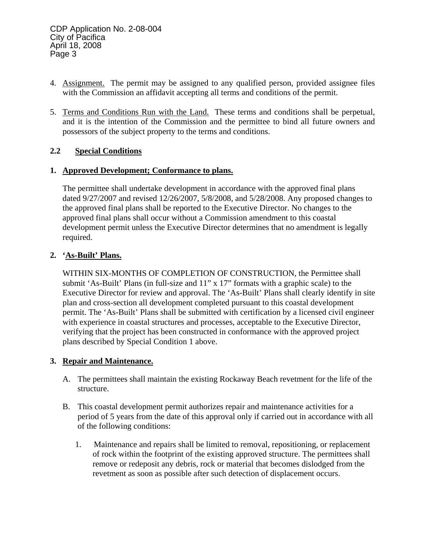- 4. Assignment. The permit may be assigned to any qualified person, provided assignee files with the Commission an affidavit accepting all terms and conditions of the permit.
- 5. Terms and Conditions Run with the Land. These terms and conditions shall be perpetual, and it is the intention of the Commission and the permittee to bind all future owners and possessors of the subject property to the terms and conditions.

## **2.2 Special Conditions**

### **1. Approved Development; Conformance to plans.**

The permittee shall undertake development in accordance with the approved final plans dated 9/27/2007 and revised 12/26/2007, 5/8/2008, and 5/28/2008. Any proposed changes to the approved final plans shall be reported to the Executive Director. No changes to the approved final plans shall occur without a Commission amendment to this coastal development permit unless the Executive Director determines that no amendment is legally required.

### **2. 'As-Built' Plans.**

WITHIN SIX-MONTHS OF COMPLETION OF CONSTRUCTION, the Permittee shall submit 'As-Built' Plans (in full-size and 11" x 17" formats with a graphic scale) to the Executive Director for review and approval. The 'As-Built' Plans shall clearly identify in site plan and cross-section all development completed pursuant to this coastal development permit. The 'As-Built' Plans shall be submitted with certification by a licensed civil engineer with experience in coastal structures and processes, acceptable to the Executive Director, verifying that the project has been constructed in conformance with the approved project plans described by Special Condition 1 above.

## **3. Repair and Maintenance.**

- A. The permittees shall maintain the existing Rockaway Beach revetment for the life of the structure.
- B. This coastal development permit authorizes repair and maintenance activities for a period of 5 years from the date of this approval only if carried out in accordance with all of the following conditions:
	- 1. Maintenance and repairs shall be limited to removal, repositioning, or replacement of rock within the footprint of the existing approved structure. The permittees shall remove or redeposit any debris, rock or material that becomes dislodged from the revetment as soon as possible after such detection of displacement occurs.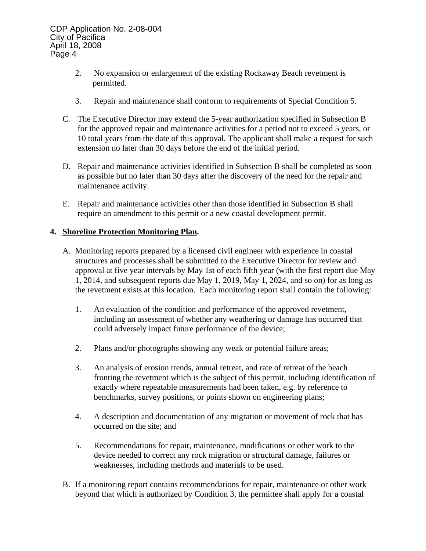- 2. No expansion or enlargement of the existing Rockaway Beach revetment is permitted.
- 3. Repair and maintenance shall conform to requirements of Special Condition 5.
- C. The Executive Director may extend the 5-year authorization specified in Subsection B for the approved repair and maintenance activities for a period not to exceed 5 years, or 10 total years from the date of this approval. The applicant shall make a request for such extension no later than 30 days before the end of the initial period.
- D. Repair and maintenance activities identified in Subsection B shall be completed as soon as possible but no later than 30 days after the discovery of the need for the repair and maintenance activity.
- E. Repair and maintenance activities other than those identified in Subsection B shall require an amendment to this permit or a new coastal development permit.

## **4. Shoreline Protection Monitoring Plan.**

- A. Monitoring reports prepared by a licensed civil engineer with experience in coastal structures and processes shall be submitted to the Executive Director for review and approval at five year intervals by May 1st of each fifth year (with the first report due May 1, 2014, and subsequent reports due May 1, 2019, May 1, 2024, and so on) for as long as the revetment exists at this location. Each monitoring report shall contain the following:
	- 1. An evaluation of the condition and performance of the approved revetment, including an assessment of whether any weathering or damage has occurred that could adversely impact future performance of the device;
	- 2. Plans and/or photographs showing any weak or potential failure areas;
	- 3. An analysis of erosion trends, annual retreat, and rate of retreat of the beach fronting the revetment which is the subject of this permit, including identification of exactly where repeatable measurements had been taken, e.g. by reference to benchmarks, survey positions, or points shown on engineering plans;
	- 4. A description and documentation of any migration or movement of rock that has occurred on the site; and
	- 5. Recommendations for repair, maintenance, modifications or other work to the device needed to correct any rock migration or structural damage, failures or weaknesses, including methods and materials to be used.
- B. If a monitoring report contains recommendations for repair, maintenance or other work beyond that which is authorized by Condition 3, the permittee shall apply for a coastal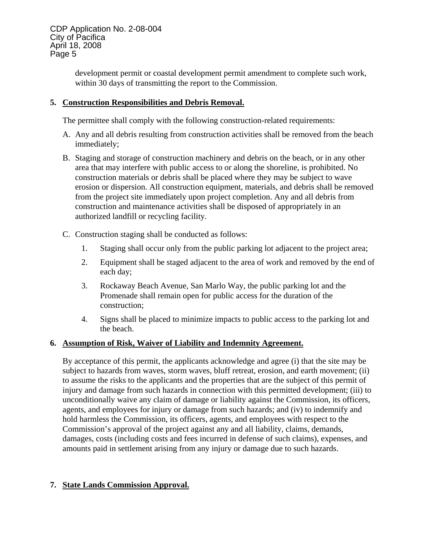development permit or coastal development permit amendment to complete such work, within 30 days of transmitting the report to the Commission.

### **5. Construction Responsibilities and Debris Removal.**

The permittee shall comply with the following construction-related requirements:

- A. Any and all debris resulting from construction activities shall be removed from the beach immediately;
- B. Staging and storage of construction machinery and debris on the beach, or in any other area that may interfere with public access to or along the shoreline, is prohibited. No construction materials or debris shall be placed where they may be subject to wave erosion or dispersion. All construction equipment, materials, and debris shall be removed from the project site immediately upon project completion. Any and all debris from construction and maintenance activities shall be disposed of appropriately in an authorized landfill or recycling facility.
- C. Construction staging shall be conducted as follows:
	- 1. Staging shall occur only from the public parking lot adjacent to the project area;
	- 2. Equipment shall be staged adjacent to the area of work and removed by the end of each day;
	- 3. Rockaway Beach Avenue, San Marlo Way, the public parking lot and the Promenade shall remain open for public access for the duration of the construction;
	- 4. Signs shall be placed to minimize impacts to public access to the parking lot and the beach.

#### **6. Assumption of Risk, Waiver of Liability and Indemnity Agreement.**

By acceptance of this permit, the applicants acknowledge and agree (i) that the site may be subject to hazards from waves, storm waves, bluff retreat, erosion, and earth movement; (ii) to assume the risks to the applicants and the properties that are the subject of this permit of injury and damage from such hazards in connection with this permitted development; (iii) to unconditionally waive any claim of damage or liability against the Commission, its officers, agents, and employees for injury or damage from such hazards; and (iv) to indemnify and hold harmless the Commission, its officers, agents, and employees with respect to the Commission's approval of the project against any and all liability, claims, demands, damages, costs (including costs and fees incurred in defense of such claims), expenses, and amounts paid in settlement arising from any injury or damage due to such hazards.

## **7. State Lands Commission Approval.**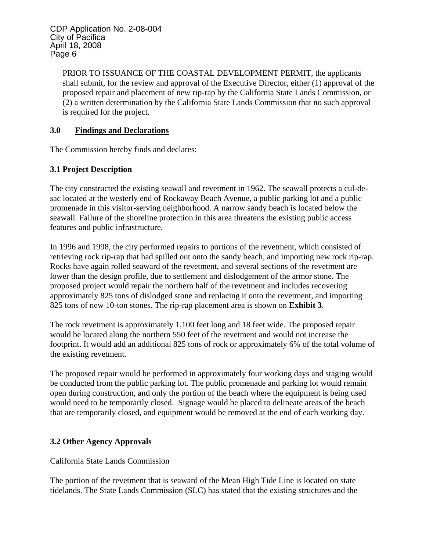> PRIOR TO ISSUANCE OF THE COASTAL DEVELOPMENT PERMIT, the applicants shall submit, for the review and approval of the Executive Director, either (1) approval of the proposed repair and placement of new rip-rap by the California State Lands Commission, or (2) a written determination by the California State Lands Commission that no such approval is required for the project.

## **3.0 Findings and Declarations**

The Commission hereby finds and declares:

## **3.1 Project Description**

The city constructed the existing seawall and revetment in 1962. The seawall protects a cul-desac located at the westerly end of Rockaway Beach Avenue, a public parking lot and a public promenade in this visitor-serving neighborhood. A narrow sandy beach is located below the seawall. Failure of the shoreline protection in this area threatens the existing public access features and public infrastructure.

In 1996 and 1998, the city performed repairs to portions of the revetment, which consisted of retrieving rock rip-rap that had spilled out onto the sandy beach, and importing new rock rip-rap. Rocks have again rolled seaward of the revetment, and several sections of the revetment are lower than the design profile, due to settlement and dislodgement of the armor stone. The proposed project would repair the northern half of the revetment and includes recovering approximately 825 tons of dislodged stone and replacing it onto the revetment, and importing 825 tons of new 10-ton stones. The rip-rap placement area is shown on **Exhibit 3**.

The rock revetment is approximately 1,100 feet long and 18 feet wide. The proposed repair would be located along the northern 550 feet of the revetment and would not increase the footprint. It would add an additional 825 tons of rock or approximately 6% of the total volume of the existing revetment.

The proposed repair would be performed in approximately four working days and staging would be conducted from the public parking lot. The public promenade and parking lot would remain open during construction, and only the portion of the beach where the equipment is being used would need to be temporarily closed. Signage would be placed to delineate areas of the beach that are temporarily closed, and equipment would be removed at the end of each working day.

## **3.2 Other Agency Approvals**

## California State Lands Commission

The portion of the revetment that is seaward of the Mean High Tide Line is located on state tidelands. The State Lands Commission (SLC) has stated that the existing structures and the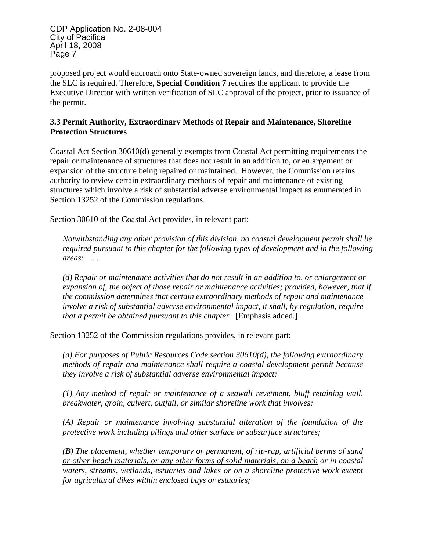proposed project would encroach onto State-owned sovereign lands, and therefore, a lease from the SLC is required. Therefore, **Special Condition 7** requires the applicant to provide the Executive Director with written verification of SLC approval of the project, prior to issuance of the permit.

## **3.3 Permit Authority, Extraordinary Methods of Repair and Maintenance, Shoreline Protection Structures**

Coastal Act Section 30610(d) generally exempts from Coastal Act permitting requirements the repair or maintenance of structures that does not result in an addition to, or enlargement or expansion of the structure being repaired or maintained. However, the Commission retains authority to review certain extraordinary methods of repair and maintenance of existing structures which involve a risk of substantial adverse environmental impact as enumerated in Section 13252 of the Commission regulations.

Section 30610 of the Coastal Act provides, in relevant part:

*Notwithstanding any other provision of this division, no coastal development permit shall be required pursuant to this chapter for the following types of development and in the following areas: . . .* 

*(d) Repair or maintenance activities that do not result in an addition to, or enlargement or expansion of, the object of those repair or maintenance activities; provided, however, that if the commission determines that certain extraordinary methods of repair and maintenance involve a risk of substantial adverse environmental impact, it shall, by regulation, require that a permit be obtained pursuant to this chapter.* [Emphasis added.]

Section 13252 of the Commission regulations provides, in relevant part:

*(a) For purposes of Public Resources Code section 30610(d), the following extraordinary methods of repair and maintenance shall require a coastal development permit because they involve a risk of substantial adverse environmental impact:*

*(1) Any method of repair or maintenance of a seawall revetment, bluff retaining wall, breakwater, groin, culvert, outfall, or similar shoreline work that involves:* 

*(A) Repair or maintenance involving substantial alteration of the foundation of the protective work including pilings and other surface or subsurface structures;* 

*(B) The placement, whether temporary or permanent, of rip-rap, artificial berms of sand or other beach materials, or any other forms of solid materials, on a beach or in coastal waters, streams, wetlands, estuaries and lakes or on a shoreline protective work except for agricultural dikes within enclosed bays or estuaries;*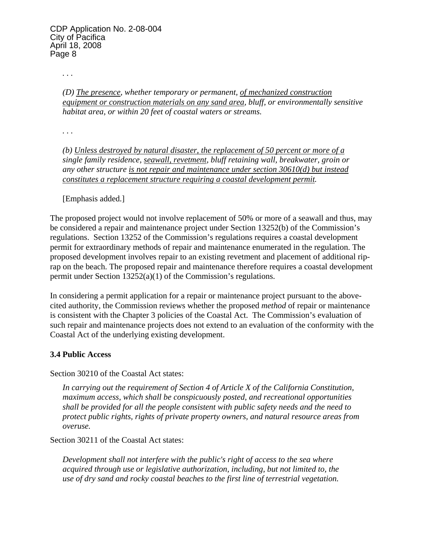*. . .* 

*(D) The presence, whether temporary or permanent, of mechanized construction equipment or construction materials on any sand area, bluff, or environmentally sensitive habitat area, or within 20 feet of coastal waters or streams.* 

*. . .* 

*(b) Unless destroyed by natural disaster, the replacement of 50 percent or more of a single family residence, seawall, revetment, bluff retaining wall, breakwater, groin or any other structure is not repair and maintenance under section 30610(d) but instead constitutes a replacement structure requiring a coastal development permit.*

[Emphasis added.]

The proposed project would not involve replacement of 50% or more of a seawall and thus, may be considered a repair and maintenance project under Section 13252(b) of the Commission's regulations. Section 13252 of the Commission's regulations requires a coastal development permit for extraordinary methods of repair and maintenance enumerated in the regulation. The proposed development involves repair to an existing revetment and placement of additional riprap on the beach. The proposed repair and maintenance therefore requires a coastal development permit under Section 13252(a)(1) of the Commission's regulations.

In considering a permit application for a repair or maintenance project pursuant to the abovecited authority, the Commission reviews whether the proposed *method* of repair or maintenance is consistent with the Chapter 3 policies of the Coastal Act. The Commission's evaluation of such repair and maintenance projects does not extend to an evaluation of the conformity with the Coastal Act of the underlying existing development.

## **3.4 Public Access**

Section 30210 of the Coastal Act states:

*In carrying out the requirement of Section 4 of Article X of the California Constitution, maximum access, which shall be conspicuously posted, and recreational opportunities shall be provided for all the people consistent with public safety needs and the need to protect public rights, rights of private property owners, and natural resource areas from overuse.* 

Section 30211 of the Coastal Act states:

*Development shall not interfere with the public's right of access to the sea where acquired through use or legislative authorization, including, but not limited to, the use of dry sand and rocky coastal beaches to the first line of terrestrial vegetation.*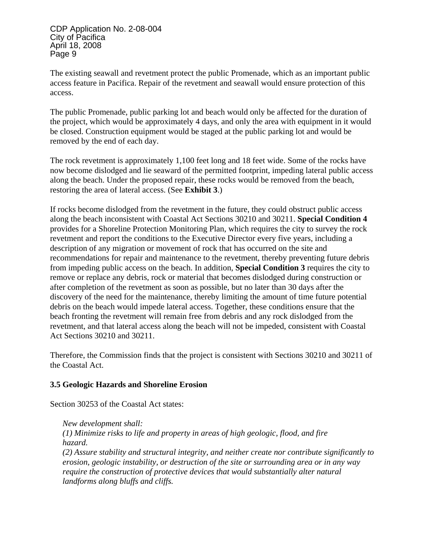The existing seawall and revetment protect the public Promenade, which as an important public access feature in Pacifica. Repair of the revetment and seawall would ensure protection of this access.

The public Promenade, public parking lot and beach would only be affected for the duration of the project, which would be approximately 4 days, and only the area with equipment in it would be closed. Construction equipment would be staged at the public parking lot and would be removed by the end of each day.

The rock revetment is approximately 1,100 feet long and 18 feet wide. Some of the rocks have now become dislodged and lie seaward of the permitted footprint, impeding lateral public access along the beach. Under the proposed repair, these rocks would be removed from the beach, restoring the area of lateral access. (See **Exhibit 3**.)

If rocks become dislodged from the revetment in the future, they could obstruct public access along the beach inconsistent with Coastal Act Sections 30210 and 30211. **Special Condition 4** provides for a Shoreline Protection Monitoring Plan, which requires the city to survey the rock revetment and report the conditions to the Executive Director every five years, including a description of any migration or movement of rock that has occurred on the site and recommendations for repair and maintenance to the revetment, thereby preventing future debris from impeding public access on the beach. In addition, **Special Condition 3** requires the city to remove or replace any debris, rock or material that becomes dislodged during construction or after completion of the revetment as soon as possible, but no later than 30 days after the discovery of the need for the maintenance, thereby limiting the amount of time future potential debris on the beach would impede lateral access. Together, these conditions ensure that the beach fronting the revetment will remain free from debris and any rock dislodged from the revetment, and that lateral access along the beach will not be impeded, consistent with Coastal Act Sections 30210 and 30211.

Therefore, the Commission finds that the project is consistent with Sections 30210 and 30211 of the Coastal Act.

## **3.5 Geologic Hazards and Shoreline Erosion**

Section 30253 of the Coastal Act states:

*New development shall: (1) Minimize risks to life and property in areas of high geologic, flood, and fire hazard. (2) Assure stability and structural integrity, and neither create nor contribute significantly to erosion, geologic instability, or destruction of the site or surrounding area or in any way require the construction of protective devices that would substantially alter natural landforms along bluffs and cliffs.*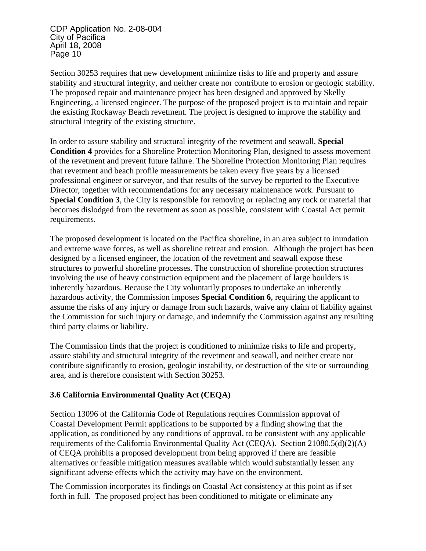Section 30253 requires that new development minimize risks to life and property and assure stability and structural integrity, and neither create nor contribute to erosion or geologic stability. The proposed repair and maintenance project has been designed and approved by Skelly Engineering, a licensed engineer. The purpose of the proposed project is to maintain and repair the existing Rockaway Beach revetment. The project is designed to improve the stability and structural integrity of the existing structure.

In order to assure stability and structural integrity of the revetment and seawall, **Special Condition 4** provides for a Shoreline Protection Monitoring Plan, designed to assess movement of the revetment and prevent future failure. The Shoreline Protection Monitoring Plan requires that revetment and beach profile measurements be taken every five years by a licensed professional engineer or surveyor, and that results of the survey be reported to the Executive Director, together with recommendations for any necessary maintenance work. Pursuant to **Special Condition 3**, the City is responsible for removing or replacing any rock or material that becomes dislodged from the revetment as soon as possible, consistent with Coastal Act permit requirements.

The proposed development is located on the Pacifica shoreline, in an area subject to inundation and extreme wave forces, as well as shoreline retreat and erosion. Although the project has been designed by a licensed engineer, the location of the revetment and seawall expose these structures to powerful shoreline processes. The construction of shoreline protection structures involving the use of heavy construction equipment and the placement of large boulders is inherently hazardous. Because the City voluntarily proposes to undertake an inherently hazardous activity, the Commission imposes **Special Condition 6**, requiring the applicant to assume the risks of any injury or damage from such hazards, waive any claim of liability against the Commission for such injury or damage, and indemnify the Commission against any resulting third party claims or liability.

The Commission finds that the project is conditioned to minimize risks to life and property, assure stability and structural integrity of the revetment and seawall, and neither create nor contribute significantly to erosion, geologic instability, or destruction of the site or surrounding area, and is therefore consistent with Section 30253.

## **3.6 California Environmental Quality Act (CEQA)**

Section 13096 of the California Code of Regulations requires Commission approval of Coastal Development Permit applications to be supported by a finding showing that the application, as conditioned by any conditions of approval, to be consistent with any applicable requirements of the California Environmental Quality Act (CEQA). Section 21080.5(d)(2)(A) of CEQA prohibits a proposed development from being approved if there are feasible alternatives or feasible mitigation measures available which would substantially lessen any significant adverse effects which the activity may have on the environment.

The Commission incorporates its findings on Coastal Act consistency at this point as if set forth in full. The proposed project has been conditioned to mitigate or eliminate any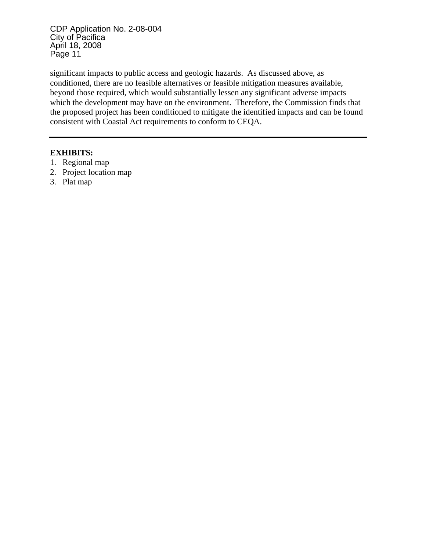significant impacts to public access and geologic hazards. As discussed above, as conditioned, there are no feasible alternatives or feasible mitigation measures available, beyond those required, which would substantially lessen any significant adverse impacts which the development may have on the environment. Therefore, the Commission finds that the proposed project has been conditioned to mitigate the identified impacts and can be found consistent with Coastal Act requirements to conform to CEQA.

### **EXHIBITS:**

- 1. Regional map
- 2. Project location map
- 3. Plat map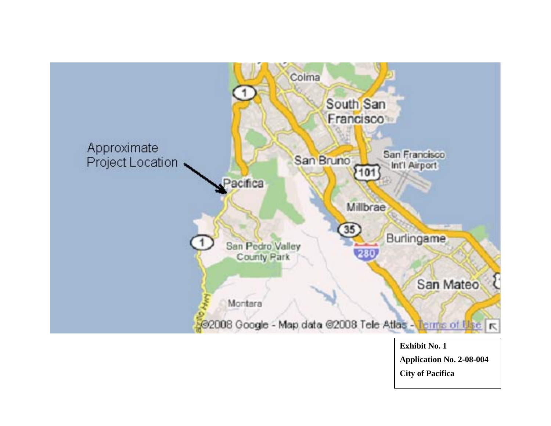

**Application No. 2-08-004 City of Pacifica**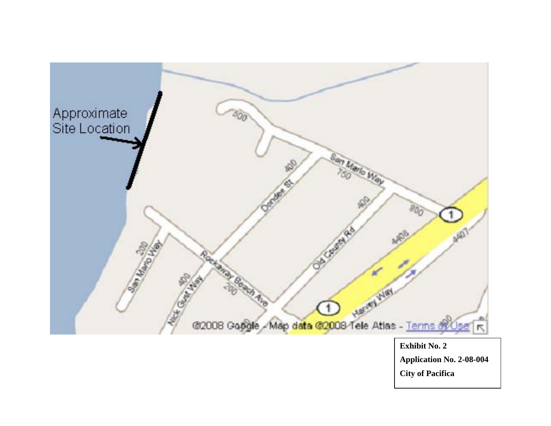

**City of Pacifica**